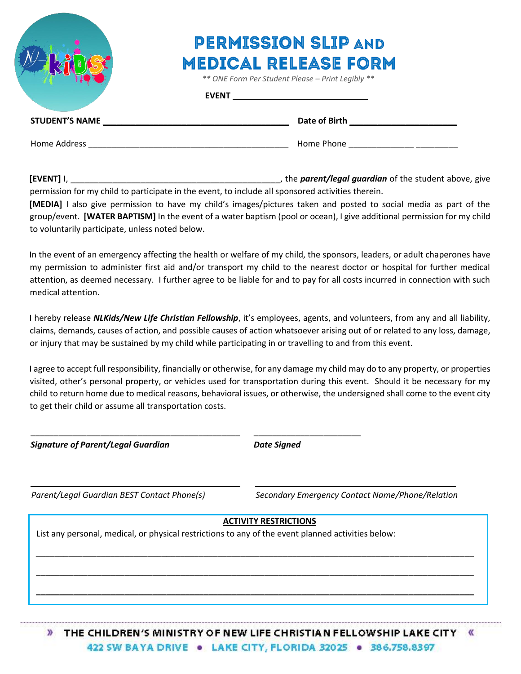

## **PERMISSION SLIP AND MEDICAL RELEASE FORM**

 *\*\* ONE Form Per Student Please – Print Legibly \*\**

## **EVENT**

| <b>STUDENT'S NAME</b> | Date of Birth |
|-----------------------|---------------|
| Home Address          | Home Phone    |

**[EVENT]** I, \_\_\_\_\_\_\_\_\_\_\_\_\_\_\_\_\_\_\_\_\_\_\_\_\_\_\_\_\_\_\_\_\_\_\_\_\_\_\_\_\_\_\_\_\_, the *parent/legal guardian* of the student above, give

permission for my child to participate in the event, to include all sponsored activities therein. **[MEDIA]** I also give permission to have my child's images/pictures taken and posted to social media as part of the group/event. **[WATER BAPTISM]** In the event of a water baptism (pool or ocean), I give additional permission for my child to voluntarily participate, unless noted below.

In the event of an emergency affecting the health or welfare of my child, the sponsors, leaders, or adult chaperones have my permission to administer first aid and/or transport my child to the nearest doctor or hospital for further medical attention, as deemed necessary. I further agree to be liable for and to pay for all costs incurred in connection with such medical attention.

I hereby release *NLKids/New Life Christian Fellowship*, it's employees, agents, and volunteers, from any and all liability, claims, demands, causes of action, and possible causes of action whatsoever arising out of or related to any loss, damage, or injury that may be sustained by my child while participating in or travelling to and from this event.

I agree to accept full responsibility, financially or otherwise, for any damage my child may do to any property, or properties visited, other's personal property, or vehicles used for transportation during this event. Should it be necessary for my child to return home due to medical reasons, behavioral issues, or otherwise, the undersigned shall come to the event city to get their child or assume all transportation costs.

**Signature of Parent/Legal Guardian and Conventional Convention Convention Convention Convention Convention Convention Convention Convention Convention Convention Convention Convention Convention Convention Convention Conv** 

*Parent/Legal Guardian BEST Contact Phone(s) Secondary Emergency Contact Name/Phone/Relation*

## **ACTIVITY RESTRICTIONS**

\_\_\_\_\_\_\_\_\_\_\_\_\_\_\_\_\_\_\_\_\_\_\_\_\_\_\_\_\_\_\_\_\_\_\_\_\_\_\_\_\_\_\_\_\_\_\_\_\_\_\_\_\_\_\_\_\_\_\_\_\_\_\_\_\_\_\_\_\_\_\_\_\_\_\_\_\_\_\_\_\_\_\_\_\_\_\_\_\_\_\_\_\_\_

\_\_\_\_\_\_\_\_\_\_\_\_\_\_\_\_\_\_\_\_\_\_\_\_\_\_\_\_\_\_\_\_\_\_\_\_\_\_\_\_\_\_\_\_\_\_\_\_\_\_\_\_\_\_\_\_\_\_\_\_\_\_\_\_\_\_\_\_\_\_\_\_\_\_\_\_\_\_\_\_\_\_\_\_\_\_\_\_\_\_\_\_\_\_

**\_\_\_\_\_\_\_\_\_\_\_\_\_\_\_\_\_\_\_\_\_\_\_\_\_\_\_\_\_\_\_\_\_\_\_\_\_\_\_\_\_\_\_\_\_\_\_\_\_\_\_\_\_\_\_\_\_\_\_\_\_\_\_\_\_\_\_\_\_\_\_\_\_\_\_\_\_\_\_\_\_\_\_\_\_\_\_\_\_\_\_\_\_\_**

\_\_\_\_\_\_\_\_\_\_\_\_\_\_\_\_\_\_\_\_\_\_\_\_\_\_\_\_\_\_\_\_\_\_\_\_\_\_\_\_\_\_\_\_\_ \_\_\_\_\_\_\_\_\_\_\_\_\_\_\_\_\_\_\_\_\_\_\_\_\_\_\_\_\_\_\_\_\_\_\_\_\_\_\_\_\_\_\_

List any personal, medical, or physical restrictions to any of the event planned activities below:

\_\_\_\_\_\_\_\_\_\_\_\_\_\_\_\_\_\_\_\_\_\_\_\_\_\_\_\_\_\_\_\_\_\_\_\_\_\_\_\_\_\_\_\_\_ \_\_\_\_\_\_\_\_\_\_\_\_\_\_\_\_\_\_\_\_\_\_\_

THE CHILDREN'S MINISTRY OF NEW LIFE CHRISTIAN FELLOWSHIP LAKE CITY (K)  $\mathcal{D}$ 422 SW BAYA DRIVE . LAKE CITY, FLORIDA 32025 . 386,758,8397